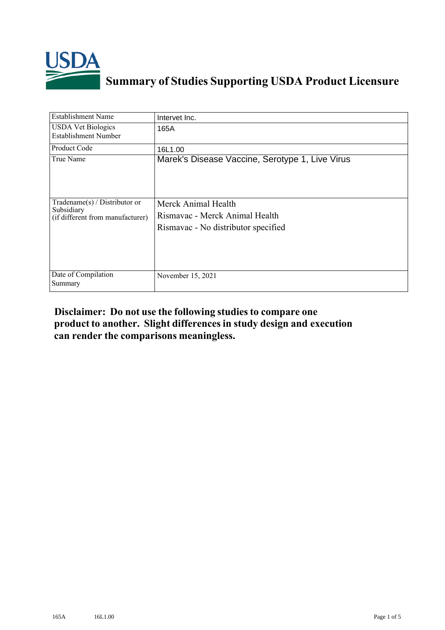

## **Summary of Studies Supporting USDA Product Licensure**

| <b>Establishment Name</b>                                                       | Intervet Inc.                                                                                |
|---------------------------------------------------------------------------------|----------------------------------------------------------------------------------------------|
| <b>USDA Vet Biologics</b><br><b>Establishment Number</b>                        | 165A                                                                                         |
| <b>Product Code</b>                                                             | 16L1.00                                                                                      |
| True Name                                                                       | Marek's Disease Vaccine, Serotype 1, Live Virus                                              |
| Tradename(s) / Distributor or<br>Subsidiary<br>(if different from manufacturer) | Merck Animal Health<br>Rismayac - Merck Animal Health<br>Rismavac - No distributor specified |
| Date of Compilation<br>Summary                                                  | November 15, 2021                                                                            |

## **Disclaimer: Do not use the following studiesto compare one product to another. Slight differencesin study design and execution can render the comparisons meaningless.**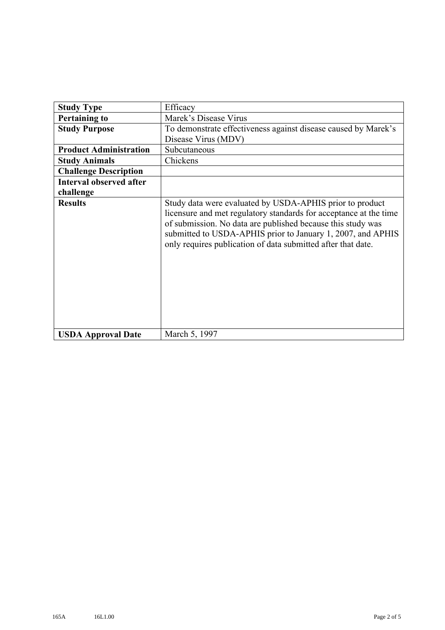| <b>Study Type</b>              | Efficacy                                                                                                                                                                                                                                                                                                                    |
|--------------------------------|-----------------------------------------------------------------------------------------------------------------------------------------------------------------------------------------------------------------------------------------------------------------------------------------------------------------------------|
| <b>Pertaining to</b>           | Marek's Disease Virus                                                                                                                                                                                                                                                                                                       |
| <b>Study Purpose</b>           | To demonstrate effectiveness against disease caused by Marek's                                                                                                                                                                                                                                                              |
|                                | Disease Virus (MDV)                                                                                                                                                                                                                                                                                                         |
| <b>Product Administration</b>  | Subcutaneous                                                                                                                                                                                                                                                                                                                |
| <b>Study Animals</b>           | Chickens                                                                                                                                                                                                                                                                                                                    |
| <b>Challenge Description</b>   |                                                                                                                                                                                                                                                                                                                             |
| <b>Interval observed after</b> |                                                                                                                                                                                                                                                                                                                             |
| challenge                      |                                                                                                                                                                                                                                                                                                                             |
| <b>Results</b>                 | Study data were evaluated by USDA-APHIS prior to product<br>licensure and met regulatory standards for acceptance at the time<br>of submission. No data are published because this study was<br>submitted to USDA-APHIS prior to January 1, 2007, and APHIS<br>only requires publication of data submitted after that date. |
| <b>USDA Approval Date</b>      | March 5, 1997                                                                                                                                                                                                                                                                                                               |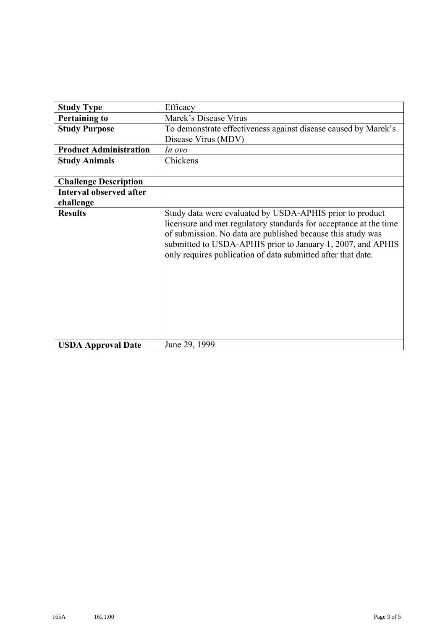| <b>Study Type</b>              | Efficacy                                                                                                                                                                                                                                                                                                                    |
|--------------------------------|-----------------------------------------------------------------------------------------------------------------------------------------------------------------------------------------------------------------------------------------------------------------------------------------------------------------------------|
| <b>Pertaining to</b>           | Marek's Disease Virus                                                                                                                                                                                                                                                                                                       |
| <b>Study Purpose</b>           | To demonstrate effectiveness against disease caused by Marek's                                                                                                                                                                                                                                                              |
|                                | Disease Virus (MDV)                                                                                                                                                                                                                                                                                                         |
| <b>Product Administration</b>  | In ovo                                                                                                                                                                                                                                                                                                                      |
| <b>Study Animals</b>           | Chickens                                                                                                                                                                                                                                                                                                                    |
|                                |                                                                                                                                                                                                                                                                                                                             |
| <b>Challenge Description</b>   |                                                                                                                                                                                                                                                                                                                             |
| <b>Interval observed after</b> |                                                                                                                                                                                                                                                                                                                             |
| challenge                      |                                                                                                                                                                                                                                                                                                                             |
| <b>Results</b>                 | Study data were evaluated by USDA-APHIS prior to product<br>licensure and met regulatory standards for acceptance at the time<br>of submission. No data are published because this study was<br>submitted to USDA-APHIS prior to January 1, 2007, and APHIS<br>only requires publication of data submitted after that date. |
| <b>USDA Approval Date</b>      | June 29, 1999                                                                                                                                                                                                                                                                                                               |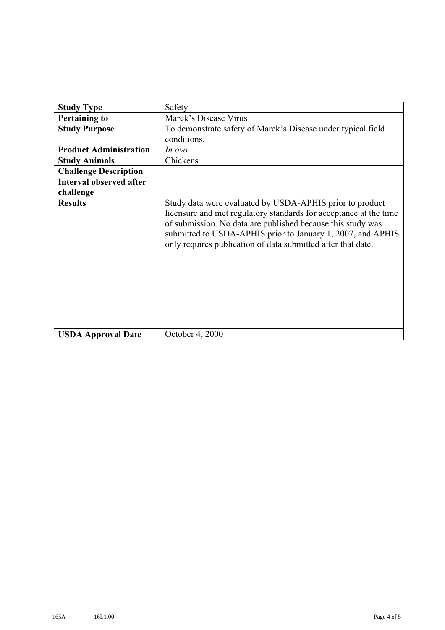| <b>Study Type</b>              | Safety                                                                                                                                                                                                                                                                                                                      |
|--------------------------------|-----------------------------------------------------------------------------------------------------------------------------------------------------------------------------------------------------------------------------------------------------------------------------------------------------------------------------|
| <b>Pertaining to</b>           | Marek's Disease Virus                                                                                                                                                                                                                                                                                                       |
| <b>Study Purpose</b>           | To demonstrate safety of Marek's Disease under typical field                                                                                                                                                                                                                                                                |
|                                | conditions.                                                                                                                                                                                                                                                                                                                 |
| <b>Product Administration</b>  | In ovo                                                                                                                                                                                                                                                                                                                      |
| <b>Study Animals</b>           | Chickens                                                                                                                                                                                                                                                                                                                    |
| <b>Challenge Description</b>   |                                                                                                                                                                                                                                                                                                                             |
| <b>Interval observed after</b> |                                                                                                                                                                                                                                                                                                                             |
| challenge                      |                                                                                                                                                                                                                                                                                                                             |
| <b>Results</b>                 | Study data were evaluated by USDA-APHIS prior to product<br>licensure and met regulatory standards for acceptance at the time<br>of submission. No data are published because this study was<br>submitted to USDA-APHIS prior to January 1, 2007, and APHIS<br>only requires publication of data submitted after that date. |
| <b>USDA Approval Date</b>      | October 4, 2000                                                                                                                                                                                                                                                                                                             |